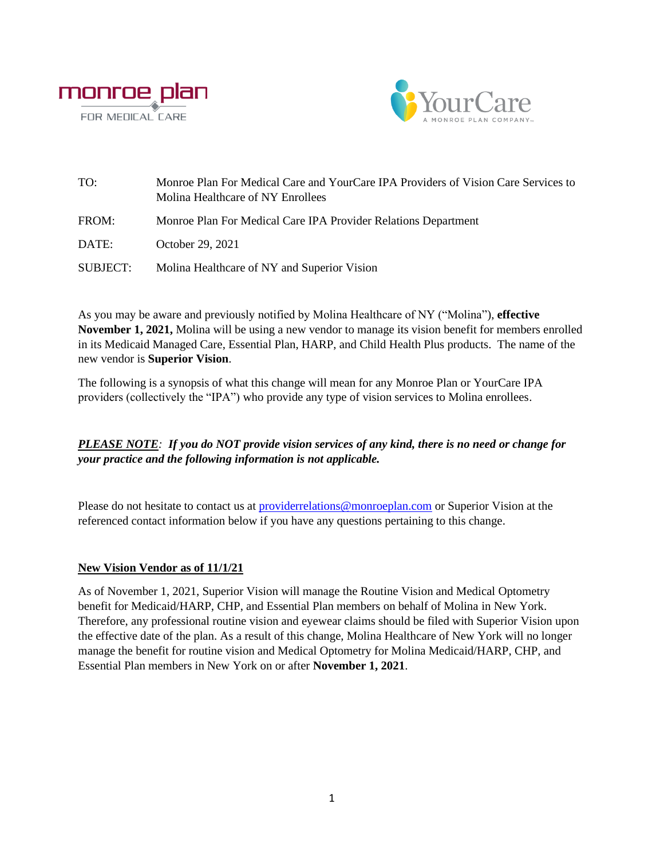



| TO:      | Monroe Plan For Medical Care and YourCare IPA Providers of Vision Care Services to<br>Molina Healthcare of NY Enrollees |
|----------|-------------------------------------------------------------------------------------------------------------------------|
| FROM:    | Monroe Plan For Medical Care IPA Provider Relations Department                                                          |
| DATE:    | October 29, 2021                                                                                                        |
| SUBJECT: | Molina Healthcare of NY and Superior Vision                                                                             |

As you may be aware and previously notified by Molina Healthcare of NY ("Molina"), **effective November 1, 2021,** Molina will be using a new vendor to manage its vision benefit for members enrolled in its Medicaid Managed Care, Essential Plan, HARP, and Child Health Plus products. The name of the new vendor is **Superior Vision**.

The following is a synopsis of what this change will mean for any Monroe Plan or YourCare IPA providers (collectively the "IPA") who provide any type of vision services to Molina enrollees.

*PLEASE NOTE: If you do NOT provide vision services of any kind, there is no need or change for your practice and the following information is not applicable.*

Please do not hesitate to contact us at [providerrelations@monroeplan.com](mailto:providerrelations@monroeplan.com) or Superior Vision at the referenced contact information below if you have any questions pertaining to this change.

## **New Vision Vendor as of 11/1/21**

As of November 1, 2021, Superior Vision will manage the Routine Vision and Medical Optometry benefit for Medicaid/HARP, CHP, and Essential Plan members on behalf of Molina in New York. Therefore, any professional routine vision and eyewear claims should be filed with Superior Vision upon the effective date of the plan. As a result of this change, Molina Healthcare of New York will no longer manage the benefit for routine vision and Medical Optometry for Molina Medicaid/HARP, CHP, and Essential Plan members in New York on or after **November 1, 2021**.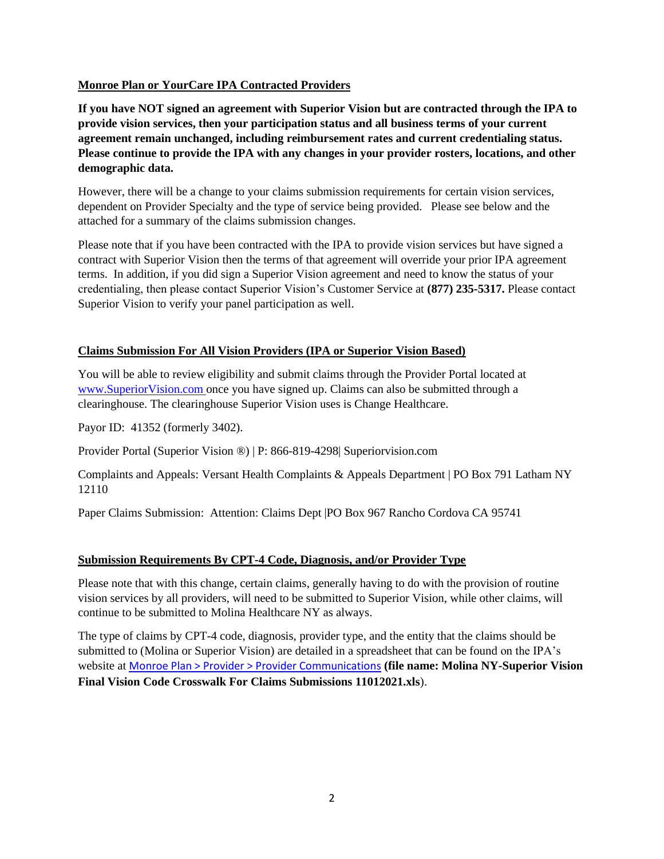# **Monroe Plan or YourCare IPA Contracted Providers**

**If you have NOT signed an agreement with Superior Vision but are contracted through the IPA to provide vision services, then your participation status and all business terms of your current agreement remain unchanged, including reimbursement rates and current credentialing status. Please continue to provide the IPA with any changes in your provider rosters, locations, and other demographic data.**

However, there will be a change to your claims submission requirements for certain vision services, dependent on Provider Specialty and the type of service being provided. Please see below and the attached for a summary of the claims submission changes.

Please note that if you have been contracted with the IPA to provide vision services but have signed a contract with Superior Vision then the terms of that agreement will override your prior IPA agreement terms. In addition, if you did sign a Superior Vision agreement and need to know the status of your credentialing, then please contact Superior Vision's Customer Service at **(877) 235-5317.** Please contact Superior Vision to verify your panel participation as well.

# **Claims Submission For All Vision Providers (IPA or Superior Vision Based)**

You will be able to review eligibility and submit claims through the Provider Portal located at [www.SuperiorVision.com](http://www.superiorvision.com/) once you have signed up. Claims can also be submitted through a clearinghouse. The clearinghouse Superior Vision uses is Change Healthcare.

Payor ID: 41352 (formerly 3402).

Provider Portal (Superior Vision ®) | P: 866-819-4298| Superiorvision.com

Complaints and Appeals: Versant Health Complaints & Appeals Department | PO Box 791 Latham NY 12110

Paper Claims Submission: Attention: Claims Dept |PO Box 967 Rancho Cordova CA 95741

## **Submission Requirements By CPT-4 Code, Diagnosis, and/or Provider Type**

Please note that with this change, certain claims, generally having to do with the provision of routine vision services by all providers, will need to be submitted to Superior Vision, while other claims, will continue to be submitted to Molina Healthcare NY as always.

The type of claims by CPT-4 code, diagnosis, provider type, and the entity that the claims should be submitted to (Molina or Superior Vision) are detailed in a spreadsheet that can be found on the IPA's website at [Monroe Plan > Provider > Provider Communications](http://www.monroeplan.com/Provider/Provider-Communications) **(file name: Molina NY-Superior Vision Final Vision Code Crosswalk For Claims Submissions 11012021.xls**).